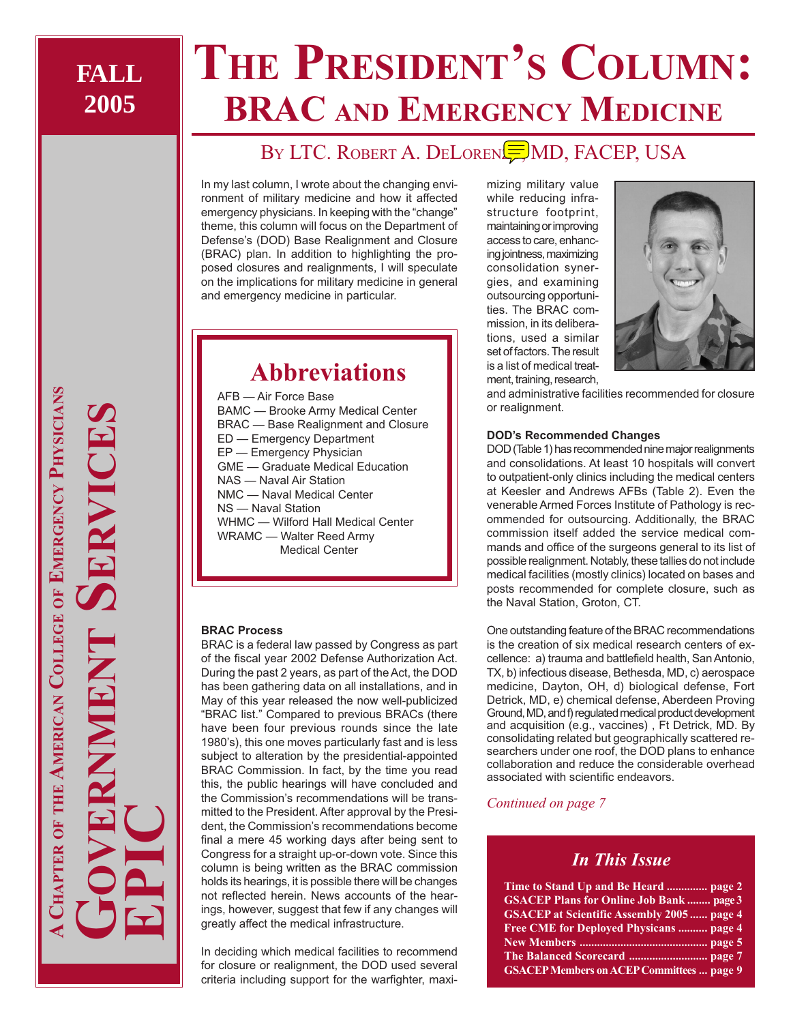# **THE PRESIDENT'S COLUMN: BRAC AND EMERGENCY MEDICINE**

### BY LTC. ROBERT A. DELOREN**END**, FACEP, USA

In my last column, I wrote about the changing environment of military medicine and how it affected emergency physicians. In keeping with the "change" theme, this column will focus on the Department of Defense's (DOD) Base Realignment and Closure (BRAC) plan. In addition to highlighting the proposed closures and realignments, I will speculate on the implications for military medicine in general and emergency medicine in particular.

### **Abbreviations**

AFB — Air Force Base BAMC — Brooke Army Medical Center BRAC — Base Realignment and Closure ED — Emergency Department EP — Emergency Physician GME — Graduate Medical Education NAS — Naval Air Station NMC — Naval Medical Center NS — Naval Station WHMC — Wilford Hall Medical Center WRAMC — Walter Reed Army Medical Center

### **BRAC Process**

BRAC is a federal law passed by Congress as part of the fiscal year 2002 Defense Authorization Act. During the past 2 years, as part of the Act, the DOD has been gathering data on all installations, and in May of this year released the now well-publicized "BRAC list." Compared to previous BRACs (there have been four previous rounds since the late 1980's), this one moves particularly fast and is less subject to alteration by the presidential-appointed BRAC Commission. In fact, by the time you read this, the public hearings will have concluded and the Commission's recommendations will be transmitted to the President. After approval by the President, the Commission's recommendations become final a mere 45 working days after being sent to Congress for a straight up-or-down vote. Since this column is being written as the BRAC commission holds its hearings, it is possible there will be changes not reflected herein. News accounts of the hearings, however, suggest that few if any changes will greatly affect the medical infrastructure.

In deciding which medical facilities to recommend for closure or realignment, the DOD used several criteria including support for the warfighter, maxi-

mizing military value while reducing infrastructure footprint, maintaining or improving access to care, enhancing jointness, maximizing consolidation synergies, and examining outsourcing opportunities. The BRAC commission, in its deliberations, used a similar set of factors. The result is a list of medical treatment, training, research,



and administrative facilities recommended for closure or realignment.

### **DOD's Recommended Changes**

DOD (Table 1) has recommended nine major realignments and consolidations. At least 10 hospitals will convert to outpatient-only clinics including the medical centers at Keesler and Andrews AFBs (Table 2). Even the venerable Armed Forces Institute of Pathology is recommended for outsourcing. Additionally, the BRAC commission itself added the service medical commands and office of the surgeons general to its list of possible realignment. Notably, these tallies do not include medical facilities (mostly clinics) located on bases and posts recommended for complete closure, such as the Naval Station, Groton, CT.

One outstanding feature of the BRAC recommendations is the creation of six medical research centers of excellence: a) trauma and battlefield health, San Antonio, TX, b) infectious disease, Bethesda, MD, c) aerospace medicine, Dayton, OH, d) biological defense, Fort Detrick, MD, e) chemical defense, Aberdeen Proving Ground, MD, and f) regulated medical product development and acquisition (e.g., vaccines) , Ft Detrick, MD. By consolidating related but geographically scattered researchers under one roof, the DOD plans to enhance collaboration and reduce the considerable overhead associated with scientific endeavors.

### *Continued on page 7*

### *In This Issue*

| Time to Stand Up and Be Heard  page 2             |
|---------------------------------------------------|
| <b>GSACEP Plans for Online Job Bank  page 3</b>   |
| <b>GSACEP</b> at Scientific Assembly 2005  page 4 |
| Free CME for Deployed Physicans  page 4           |
|                                                   |
|                                                   |
| <b>GSACEP Members on ACEP Committees  page 9</b>  |

**A CHAPTER OF THE AMERICAN COLLEGE OF EMERGENCY PHYSICIANS** HAPTER OF THE AMERICAN COLLEGE OF EMERGENCY PHYSICIANS **GOVERNMENT SERVICES EPIC**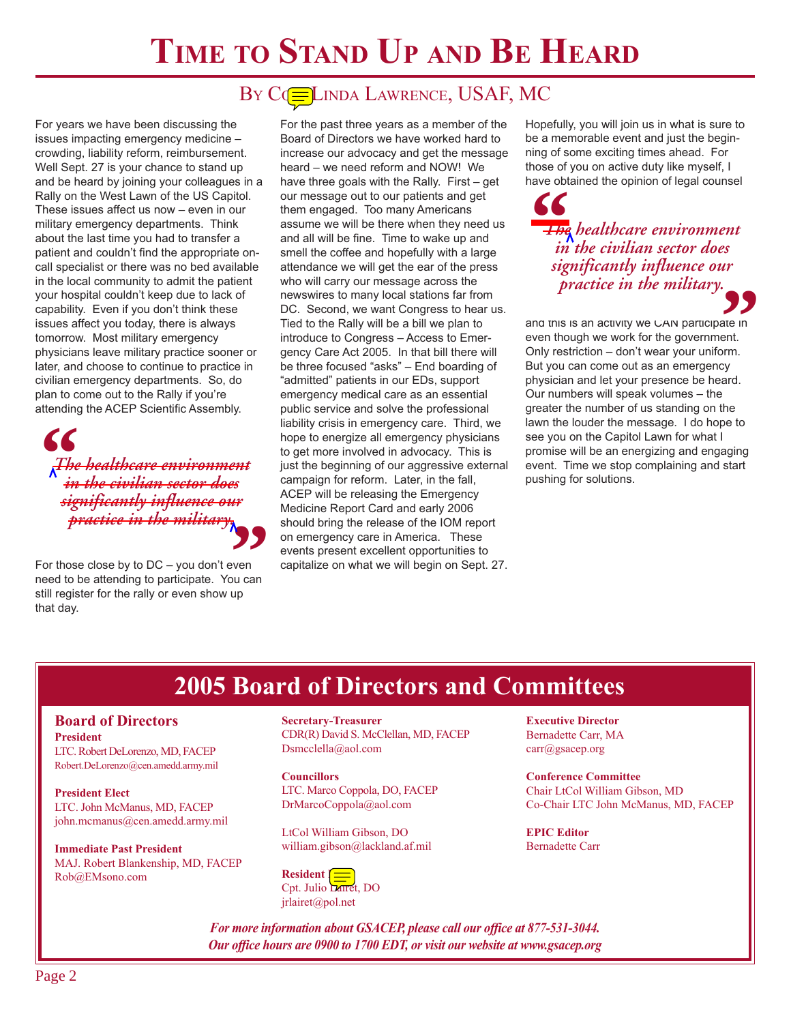## **TIME TO STAND UP AND BE HEARD**

### BY COELINDA LAWRENCE, USAF, MC

For years we have been discussing the issues impacting emergency medicine – crowding, liability reform, reimbursement. Well Sept. 27 is your chance to stand up and be heard by joining your colleagues in a Rally on the West Lawn of the US Capitol. These issues affect us now – even in our military emergency departments. Think about the last time you had to transfer a patient and couldn't find the appropriate oncall specialist or there was no bed available in the local community to admit the patient your hospital couldn't keep due to lack of capability. Even if you don't think these issues affect you today, there is always tomorrow. Most military emergency physicians leave military practice sooner or later, and choose to continue to practice in civilian emergency departments. So, do plan to come out to the Rally if you're attending the ACEP Scientific Assembly.

 $\begin{array}{c} \n\big\{\n\int_{\mathcal{R}}\n\mathbf{r}^{H} \text{d}\theta\n\end{array}$ *The healthcare environment in the civilian sector does significantly influence our practice in the military.*

For those close by to DC – you don't even **Practice in the military**<br>
For those close by to DC – you don't even<br>
meed to be attending to participate. You can<br>
still register for the rally or eyen show up still register for the rally or even show up that day.

For the past three years as a member of the Board of Directors we have worked hard to increase our advocacy and get the message heard – we need reform and NOW! We have three goals with the Rally. First – get our message out to our patients and get them engaged. Too many Americans assume we will be there when they need us and all will be fine. Time to wake up and smell the coffee and hopefully with a large attendance we will get the ear of the press who will carry our message across the newswires to many local stations far from DC. Second, we want Congress to hear us. Tied to the Rally will be a bill we plan to introduce to Congress – Access to Emergency Care Act 2005. In that bill there will be three focused "asks" – End boarding of "admitted" patients in our EDs, support emergency medical care as an essential public service and solve the professional liability crisis in emergency care. Third, we hope to energize all emergency physicians to get more involved in advocacy. This is just the beginning of our aggressive external campaign for reform. Later, in the fall, ACEP will be releasing the Emergency Medicine Report Card and early 2006 should bring the release of the IOM report on emergency care in America. These events present excellent opportunities to capitalize on what we will begin on Sept. 27.

Hopefully, you will join us in what is sure to be a memorable event and just the beginning of some exciting times ahead. For those of you on active duty like myself, I have obtained the opinion of legal counsel

**66**<br>+ Heq in *The healthcare environment in the civilian sector does significantly influence our practice in the military.*

and this is an activity we CAN participate in even though we work for the government. Only restriction – don't wear your uniform. But you can come out as an emergency physician and let your presence be heard. Our numbers will speak volumes – the greater the number of us standing on the lawn the louder the message. I do hope to see you on the Capitol Lawn for what I promise will be an energizing and engaging event. Time we stop complaining and start pushing for solutions. **99**<br>ate in<br>ent.<br>prm.

### **2005 Board of Directors and Committees**

#### **Board of Directors President**

LTC. Robert DeLorenzo, MD, FACEP Robert.DeLorenzo@cen.amedd.army.mil

**President Elect** LTC. John McManus, MD, FACEP john.mcmanus@cen.amedd.army.mil

**Immediate Past President** MAJ. Robert Blankenship, MD, FACEP Rob@EMsono.com

**Secretary-Treasurer** CDR(R) David S. McClellan, MD, FACEP Dsmcclella@aol.com

**Councillors** LTC. Marco Coppola, DO, FACEP DrMarcoCoppola@aol.com

LtCol William Gibson, DO william.gibson@lackland.af.mil

**Resident** [: Cpt. Julio Lairet, DO jrlairet@pol.net

**Executive Director** Bernadette Carr, MA carr@gsacep.org

**Conference Committee** Chair LtCol William Gibson, MD Co-Chair LTC John McManus, MD, FACEP

**EPIC Editor** Bernadette Carr

*For more information about GSACEP, please call our office at 877-531-3044. Our office hours are 0900 to 1700 EDT, or visit our website at www.gsacep.org*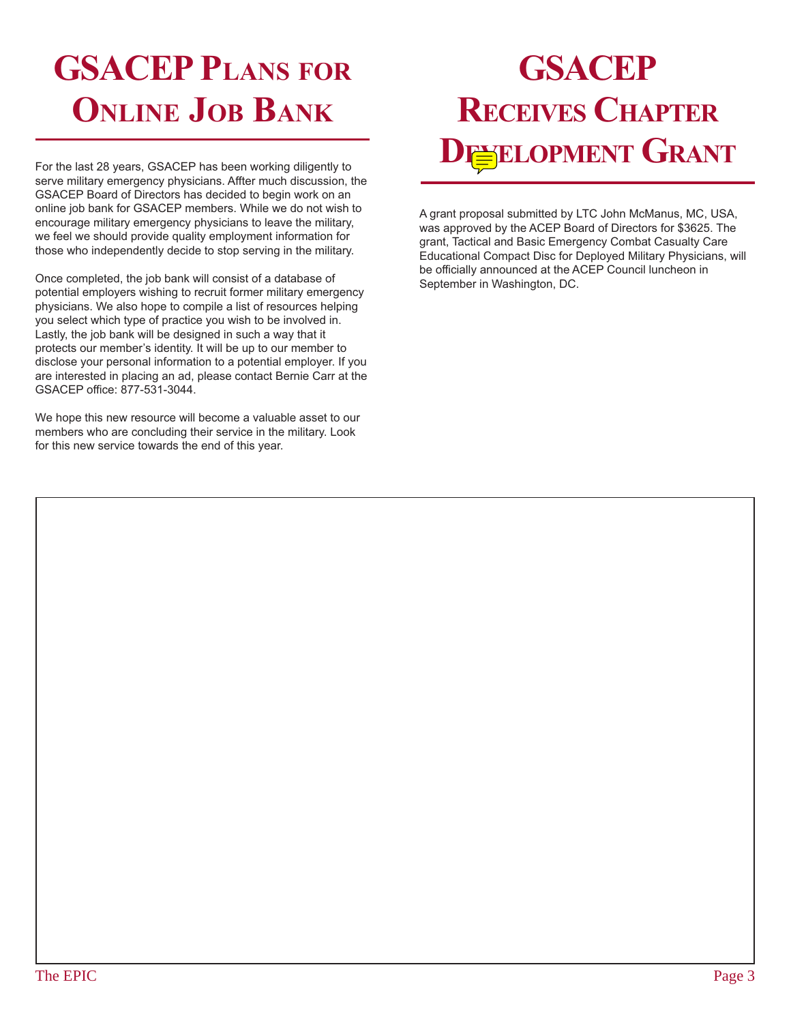## **GSACEP PLANS FOR ONLINE JOB BANK**

For the last 28 years, GSACEP has been working diligently to serve military emergency physicians. Affter much discussion, the GSACEP Board of Directors has decided to begin work on an online job bank for GSACEP members. While we do not wish to encourage military emergency physicians to leave the military, we feel we should provide quality employment information for those who independently decide to stop serving in the military.

Once completed, the job bank will consist of a database of potential employers wishing to recruit former military emergency physicians. We also hope to compile a list of resources helping you select which type of practice you wish to be involved in. Lastly, the job bank will be designed in such a way that it protects our member's identity. It will be up to our member to disclose your personal information to a potential employer. If you are interested in placing an ad, please contact Bernie Carr at the GSACEP office: 877-531-3044.

We hope this new resource will become a valuable asset to our members who are concluding their service in the military. Look for this new service towards the end of this year.

## **GSACEP RECEIVES CHAPTER DEVELOPMENT GRANT**

A grant proposal submitted by LTC John McManus, MC, USA, was approved by the ACEP Board of Directors for \$3625. The grant, Tactical and Basic Emergency Combat Casualty Care Educational Compact Disc for Deployed Military Physicians, will be officially announced at the ACEP Council luncheon in September in Washington, DC.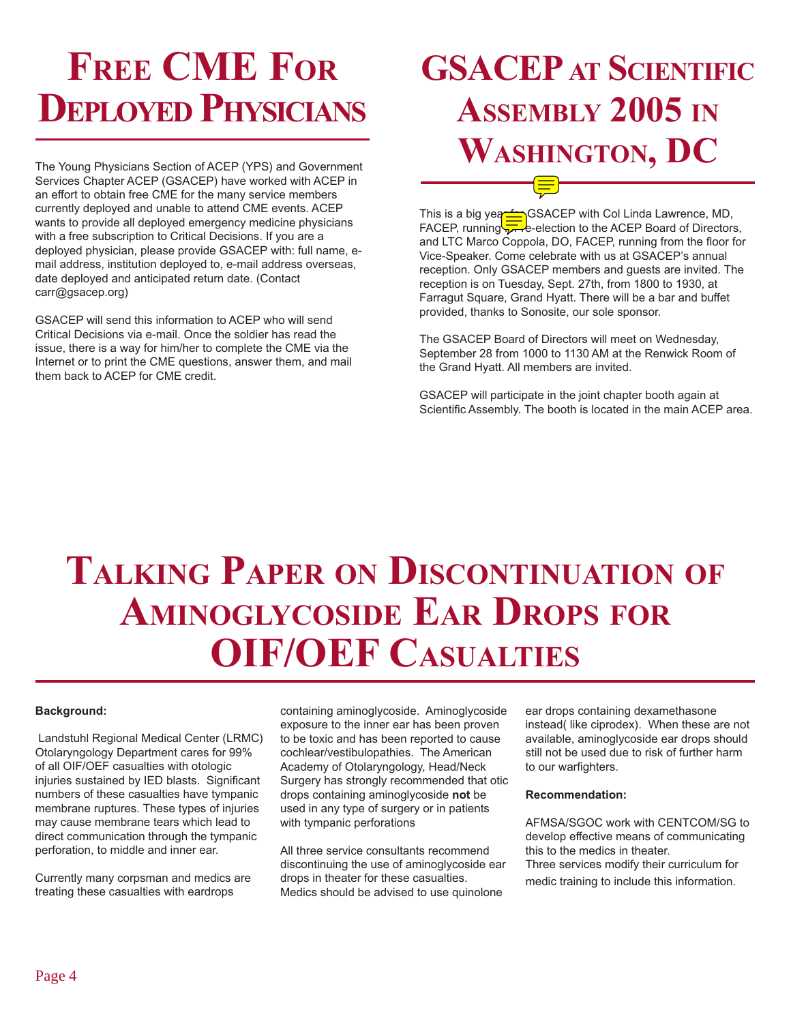# **FREE CME FOR DEPLOYED PHYSICIANS**

The Young Physicians Section of ACEP (YPS) and Government Services Chapter ACEP (GSACEP) have worked with ACEP in an effort to obtain free CME for the many service members currently deployed and unable to attend CME events. ACEP wants to provide all deployed emergency medicine physicians with a free subscription to Critical Decisions. If you are a deployed physician, please provide GSACEP with: full name, email address, institution deployed to, e-mail address overseas, date deployed and anticipated return date. (Contact carr@gsacep.org)

GSACEP will send this information to ACEP who will send Critical Decisions via e-mail. Once the soldier has read the issue, there is a way for him/her to complete the CME via the Internet or to print the CME questions, answer them, and mail them back to ACEP for CME credit.

## **GSACEP AT SCIENTIFIC ASSEMBLY 2005 IN WASHINGTON, DC**

This is a big year formula GSACEP with Col Linda Lawrence, MD, FACEP, running For re-election to the ACEP Board of Directors, and LTC Marco Coppola, DO, FACEP, running from the floor for Vice-Speaker. Come celebrate with us at GSACEP's annual reception. Only GSACEP members and guests are invited. The reception is on Tuesday, Sept. 27th, from 1800 to 1930, at Farragut Square, Grand Hyatt. There will be a bar and buffet provided, thanks to Sonosite, our sole sponsor.

The GSACEP Board of Directors will meet on Wednesday, September 28 from 1000 to 1130 AM at the Renwick Room of the Grand Hyatt. All members are invited.

GSACEP will participate in the joint chapter booth again at Scientific Assembly. The booth is located in the main ACEP area.

# **TALKING PAPER ON DISCONTINUATION OF AMINOGLYCOSIDE EAR DROPS FOR OIF/OEF CASUALTIES**

### **Background:**

 Landstuhl Regional Medical Center (LRMC) Otolaryngology Department cares for 99% of all OIF/OEF casualties with otologic injuries sustained by IED blasts. Significant numbers of these casualties have tympanic membrane ruptures. These types of injuries may cause membrane tears which lead to direct communication through the tympanic perforation, to middle and inner ear.

Currently many corpsman and medics are treating these casualties with eardrops

containing aminoglycoside. Aminoglycoside exposure to the inner ear has been proven to be toxic and has been reported to cause cochlear/vestibulopathies. The American Academy of Otolaryngology, Head/Neck Surgery has strongly recommended that otic drops containing aminoglycoside **not** be used in any type of surgery or in patients with tympanic perforations

All three service consultants recommend discontinuing the use of aminoglycoside ear drops in theater for these casualties. Medics should be advised to use quinolone

ear drops containing dexamethasone instead( like ciprodex). When these are not available, aminoglycoside ear drops should still not be used due to risk of further harm to our warfighters.

#### **Recommendation:**

AFMSA/SGOC work with CENTCOM/SG to develop effective means of communicating this to the medics in theater. Three services modify their curriculum for medic training to include this information.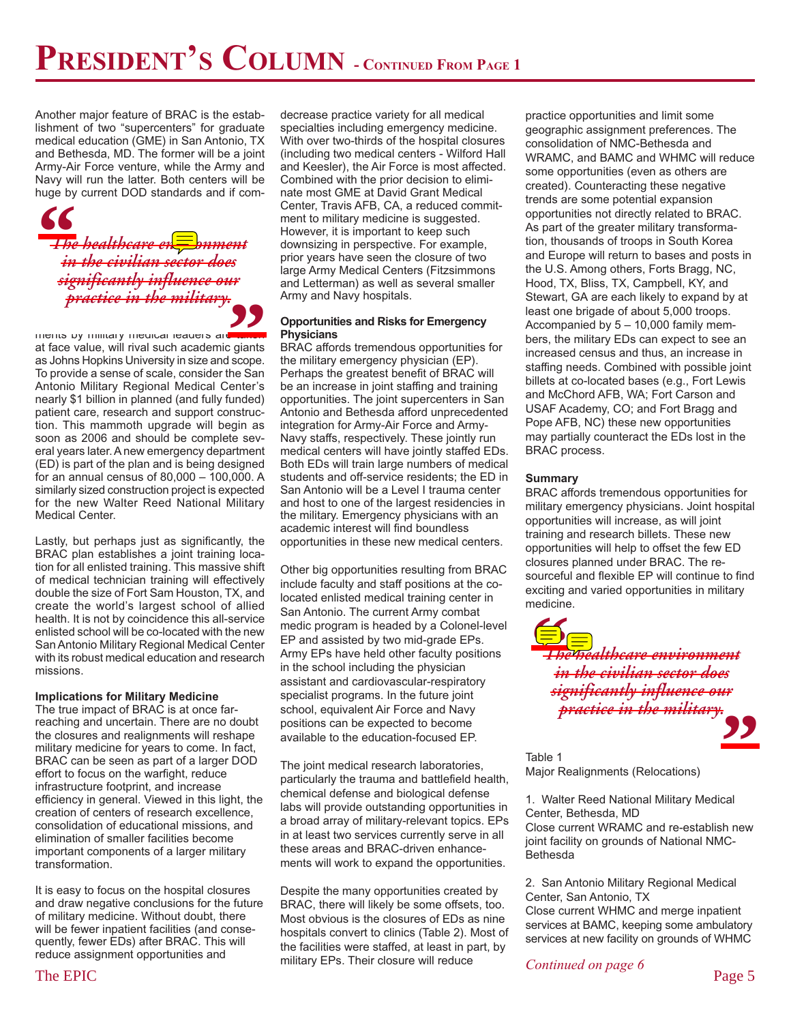Another major feature of BRAC is the establishment of two "supercenters" for graduate medical education (GME) in San Antonio, TX and Bethesda, MD. The former will be a joint Army-Air Force venture, while the Army and Navy will run the latter. Both centers will be huge by current DOD standards and if com-



 $m$ ents by military medical leaders are at face value, will rival such academic giants as Johns Hopkins University in size and scope. To provide a sense of scale, consider the San Antonio Military Regional Medical Center's nearly \$1 billion in planned (and fully funded) patient care, research and support construction. This mammoth upgrade will begin as soon as 2006 and should be complete several years later. A new emergency department (ED) is part of the plan and is being designed for an annual census of 80,000 – 100,000. A similarly sized construction project is expected for the new Walter Reed National Military Medical Center. **999**<br> **Source**<br> **Source** 

Lastly, but perhaps just as significantly, the BRAC plan establishes a joint training location for all enlisted training. This massive shift of medical technician training will effectively double the size of Fort Sam Houston, TX, and create the world's largest school of allied health. It is not by coincidence this all-service enlisted school will be co-located with the new San Antonio Military Regional Medical Center with its robust medical education and research missions.

#### **Implications for Military Medicine**

The true impact of BRAC is at once farreaching and uncertain. There are no doubt the closures and realignments will reshape military medicine for years to come. In fact, BRAC can be seen as part of a larger DOD effort to focus on the warfight, reduce infrastructure footprint, and increase efficiency in general. Viewed in this light, the creation of centers of research excellence, consolidation of educational missions, and elimination of smaller facilities become important components of a larger military transformation.

It is easy to focus on the hospital closures and draw negative conclusions for the future of military medicine. Without doubt, there will be fewer inpatient facilities (and consequently, fewer EDs) after BRAC. This will reduce assignment opportunities and

decrease practice variety for all medical specialties including emergency medicine. With over two-thirds of the hospital closures (including two medical centers - Wilford Hall and Keesler), the Air Force is most affected. Combined with the prior decision to eliminate most GME at David Grant Medical Center, Travis AFB, CA, a reduced commitment to military medicine is suggested. However, it is important to keep such downsizing in perspective. For example, prior years have seen the closure of two large Army Medical Centers (Fitzsimmons and Letterman) as well as several smaller Army and Navy hospitals.

#### **Opportunities and Risks for Emergency Physicians**

BRAC affords tremendous opportunities for the military emergency physician (EP). Perhaps the greatest benefit of BRAC will be an increase in joint staffing and training opportunities. The joint supercenters in San Antonio and Bethesda afford unprecedented integration for Army-Air Force and Army-Navy staffs, respectively. These jointly run medical centers will have jointly staffed EDs. Both EDs will train large numbers of medical students and off-service residents; the ED in San Antonio will be a Level I trauma center and host to one of the largest residencies in the military. Emergency physicians with an academic interest will find boundless opportunities in these new medical centers.

Other big opportunities resulting from BRAC include faculty and staff positions at the colocated enlisted medical training center in San Antonio. The current Army combat medic program is headed by a Colonel-level EP and assisted by two mid-grade EPs. Army EPs have held other faculty positions in the school including the physician assistant and cardiovascular-respiratory specialist programs. In the future joint school, equivalent Air Force and Navy positions can be expected to become available to the education-focused EP.

The joint medical research laboratories, particularly the trauma and battlefield health, chemical defense and biological defense labs will provide outstanding opportunities in a broad array of military-relevant topics. EPs in at least two services currently serve in all these areas and BRAC-driven enhancements will work to expand the opportunities.

military EPs. Their closure will reduce *Continued on page 6* Page 5 Despite the many opportunities created by BRAC, there will likely be some offsets, too. Most obvious is the closures of EDs as nine hospitals convert to clinics (Table 2). Most of the facilities were staffed, at least in part, by military EPs. Their closure will reduce

practice opportunities and limit some geographic assignment preferences. The consolidation of NMC-Bethesda and WRAMC, and BAMC and WHMC will reduce some opportunities (even as others are created). Counteracting these negative trends are some potential expansion opportunities not directly related to BRAC. As part of the greater military transformation, thousands of troops in South Korea and Europe will return to bases and posts in the U.S. Among others, Forts Bragg, NC, Hood, TX, Bliss, TX, Campbell, KY, and Stewart, GA are each likely to expand by at least one brigade of about 5,000 troops. Accompanied by 5 – 10,000 family members, the military EDs can expect to see an increased census and thus, an increase in staffing needs. Combined with possible joint billets at co-located bases (e.g., Fort Lewis and McChord AFB, WA; Fort Carson and USAF Academy, CO; and Fort Bragg and Pope AFB, NC) these new opportunities may partially counteract the EDs lost in the BRAC process.

### **Summary**

BRAC affords tremendous opportunities for military emergency physicians. Joint hospital opportunities will increase, as will joint training and research billets. These new opportunities will help to offset the few ED closures planned under BRAC. The resourceful and flexible EP will continue to find exciting and varied opportunities in military medicine.



Table 1 Major Realignments (Relocations)

1. Walter Reed National Military Medical Center, Bethesda, MD Close current WRAMC and re-establish new joint facility on grounds of National NMC-Bethesda

2. San Antonio Military Regional Medical Center, San Antonio, TX Close current WHMC and merge inpatient services at BAMC, keeping some ambulatory services at new facility on grounds of WHMC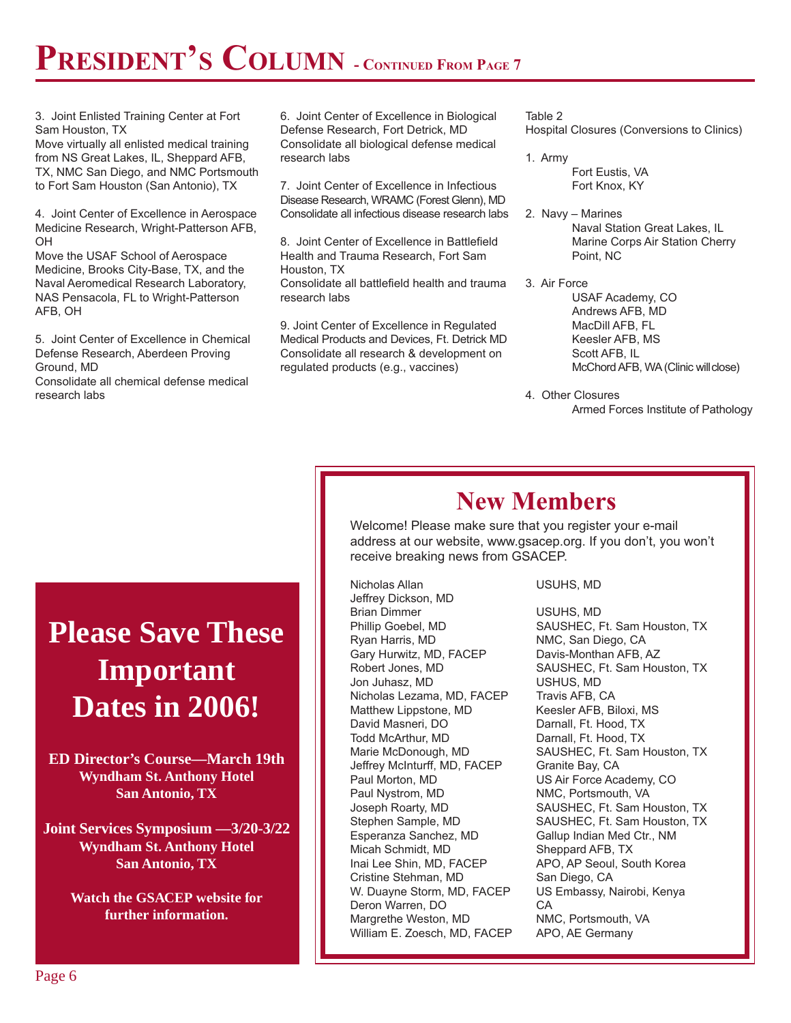## **PRESIDENT'S COLUMN - CONTINUED FROM PAGE 7**

3. Joint Enlisted Training Center at Fort Sam Houston, TX

Move virtually all enlisted medical training from NS Great Lakes, IL, Sheppard AFB, TX, NMC San Diego, and NMC Portsmouth to Fort Sam Houston (San Antonio), TX

4. Joint Center of Excellence in Aerospace Medicine Research, Wright-Patterson AFB, OH

Move the USAF School of Aerospace Medicine, Brooks City-Base, TX, and the Naval Aeromedical Research Laboratory, NAS Pensacola, FL to Wright-Patterson AFB, OH

5. Joint Center of Excellence in Chemical Defense Research, Aberdeen Proving Ground, MD

Consolidate all chemical defense medical research labs

6. Joint Center of Excellence in Biological Defense Research, Fort Detrick, MD Consolidate all biological defense medical research labs

7. Joint Center of Excellence in Infectious Disease Research, WRAMC (Forest Glenn), MD Consolidate all infectious disease research labs

8. Joint Center of Excellence in Battlefield Health and Trauma Research, Fort Sam Houston, TX Consolidate all battlefield health and trauma research labs

9. Joint Center of Excellence in Regulated Medical Products and Devices, Ft. Detrick MD Consolidate all research & development on regulated products (e.g., vaccines)

Table 2 Hospital Closures (Conversions to Clinics)

- 1. Army Fort Eustis, VA Fort Knox, KY
- 2. Navy Marines Naval Station Great Lakes, IL Marine Corps Air Station Cherry Point, NC
- 3. Air Force USAF Academy, CO Andrews AFB, MD MacDill AFB, FL Keesler AFB, MS Scott AFB, IL McChord AFB, WA (Clinic will close)
- 4. Other Closures Armed Forces Institute of Pathology

### **New Members**

Welcome! Please make sure that you register your e-mail address at our website, www.gsacep.org. If you don't, you won't receive breaking news from GSACEP.

Nicholas Allan USUHS, MD Jeffrey Dickson, MD Brian Dimmer USUHS, MD Ryan Harris, MD NMC, San Diego, CA Gary Hurwitz, MD, FACEP Davis-Monthan AFB, AZ Jon Juhasz, MD USHUS, MD Nicholas Lezama, MD, FACEP Matthew Lippstone, MD Keesler AFB, Biloxi, MS David Masneri, DO Darnall, Ft. Hood, TX Jeffrey McInturff, MD, FACEP Granite Bay, CA Paul Morton, MD US Air Force Academy, CO Paul Nystrom, MD NMC, Portsmouth, VA Esperanza Sanchez, MD Gallup Indian Med Ctr., NM Micah Schmidt, MD Sheppard AFB, TX Inai Lee Shin, MD, FACEP APO, AP Seoul, South Korea Cristine Stehman, MD San Diego, CA W. Duayne Storm, MD, FACEP US Embassy, Nairobi, Kenya Deron Warren, DO CA Margrethe Weston, MD NMC, Portsmouth, VA William E. Zoesch, MD, FACEP APO, AE Germany

Phillip Goebel, MD SAUSHEC, Ft. Sam Houston, TX Robert Jones, MD SAUSHEC, Ft. Sam Houston, TX Darnall, Ft. Hood, TX Marie McDonough, MD SAUSHEC, Ft. Sam Houston, TX Joseph Roarty, MD SAUSHEC, Ft. Sam Houston, TX Stephen Sample, MD SAUSHEC, Ft. Sam Houston, TX

### **Please Save These Important Dates in 2006!**

**ED Director's Course—March 19th Wyndham St. Anthony Hotel San Antonio, TX**

**Joint Services Symposium —3/20-3/22 Wyndham St. Anthony Hotel San Antonio, TX**

> **Watch the GSACEP website for further information.**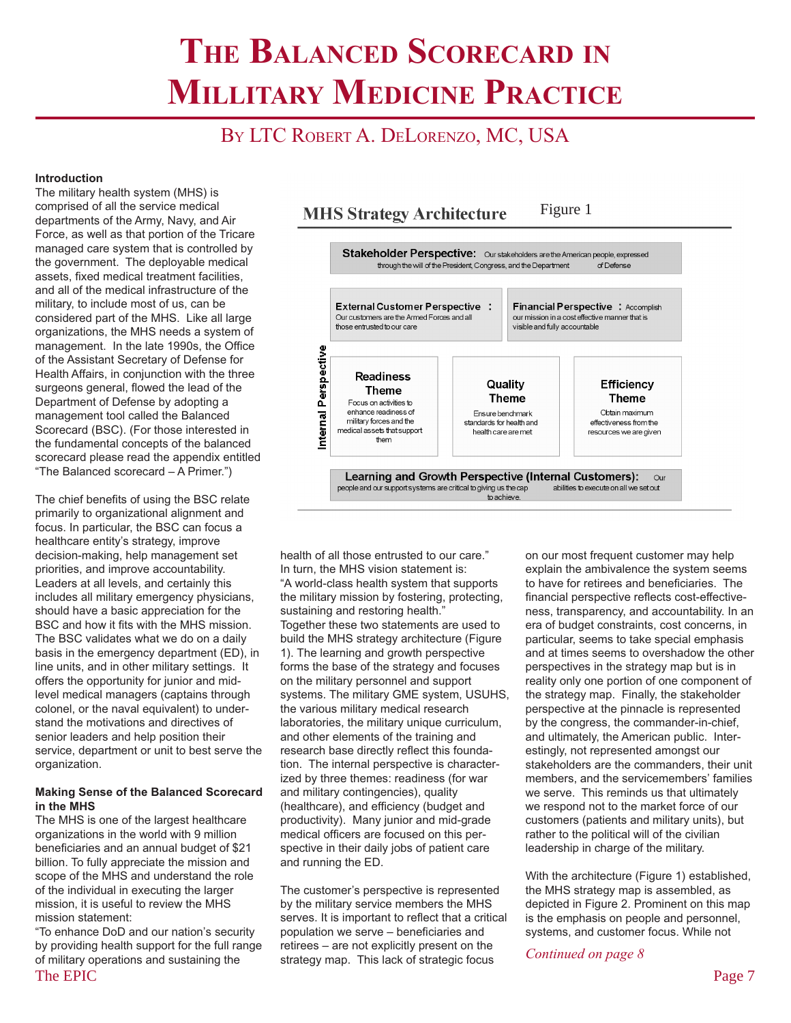## **THE BALANCED SCORECARD IN MILLITARY MEDICINE PRACTICE**

### BY LTC ROBERT A. DELORENZO, MC, USA

#### **Introduction**

The military health system (MHS) is comprised of all the service medical departments of the Army, Navy, and Air Force, as well as that portion of the Tricare managed care system that is controlled by the government. The deployable medical assets, fixed medical treatment facilities, and all of the medical infrastructure of the military, to include most of us, can be considered part of the MHS. Like all large organizations, the MHS needs a system of management. In the late 1990s, the Office of the Assistant Secretary of Defense for Health Affairs, in conjunction with the three surgeons general, flowed the lead of the Department of Defense by adopting a management tool called the Balanced Scorecard (BSC). (For those interested in the fundamental concepts of the balanced scorecard please read the appendix entitled "The Balanced scorecard – A Primer.")

The chief benefits of using the BSC relate primarily to organizational alignment and focus. In particular, the BSC can focus a healthcare entity's strategy, improve decision-making, help management set priorities, and improve accountability. Leaders at all levels, and certainly this includes all military emergency physicians, should have a basic appreciation for the BSC and how it fits with the MHS mission. The BSC validates what we do on a daily basis in the emergency department (ED), in line units, and in other military settings. It offers the opportunity for junior and midlevel medical managers (captains through colonel, or the naval equivalent) to understand the motivations and directives of senior leaders and help position their service, department or unit to best serve the organization.

#### **Making Sense of the Balanced Scorecard in the MHS**

The MHS is one of the largest healthcare organizations in the world with 9 million beneficiaries and an annual budget of \$21 billion. To fully appreciate the mission and scope of the MHS and understand the role of the individual in executing the larger mission, it is useful to review the MHS mission statement:

The EPIC Page 7 "To enhance DoD and our nation's security by providing health support for the full range of military operations and sustaining the



health of all those entrusted to our care." In turn, the MHS vision statement is: "A world-class health system that supports the military mission by fostering, protecting, sustaining and restoring health." Together these two statements are used to build the MHS strategy architecture (Figure 1). The learning and growth perspective forms the base of the strategy and focuses on the military personnel and support systems. The military GME system, USUHS, the various military medical research laboratories, the military unique curriculum, and other elements of the training and research base directly reflect this foundation. The internal perspective is characterized by three themes: readiness (for war and military contingencies), quality (healthcare), and efficiency (budget and productivity). Many junior and mid-grade medical officers are focused on this perspective in their daily jobs of patient care and running the ED.

The customer's perspective is represented by the military service members the MHS serves. It is important to reflect that a critical population we serve – beneficiaries and retirees – are not explicitly present on the strategy map. This lack of strategic focus

on our most frequent customer may help explain the ambivalence the system seems to have for retirees and beneficiaries. The financial perspective reflects cost-effectiveness, transparency, and accountability. In an era of budget constraints, cost concerns, in particular, seems to take special emphasis and at times seems to overshadow the other perspectives in the strategy map but is in reality only one portion of one component of the strategy map. Finally, the stakeholder perspective at the pinnacle is represented by the congress, the commander-in-chief, and ultimately, the American public. Interestingly, not represented amongst our stakeholders are the commanders, their unit members, and the servicemembers' families we serve. This reminds us that ultimately we respond not to the market force of our customers (patients and military units), but rather to the political will of the civilian leadership in charge of the military.

With the architecture (Figure 1) established, the MHS strategy map is assembled, as depicted in Figure 2. Prominent on this map is the emphasis on people and personnel, systems, and customer focus. While not

*Continued on page 8*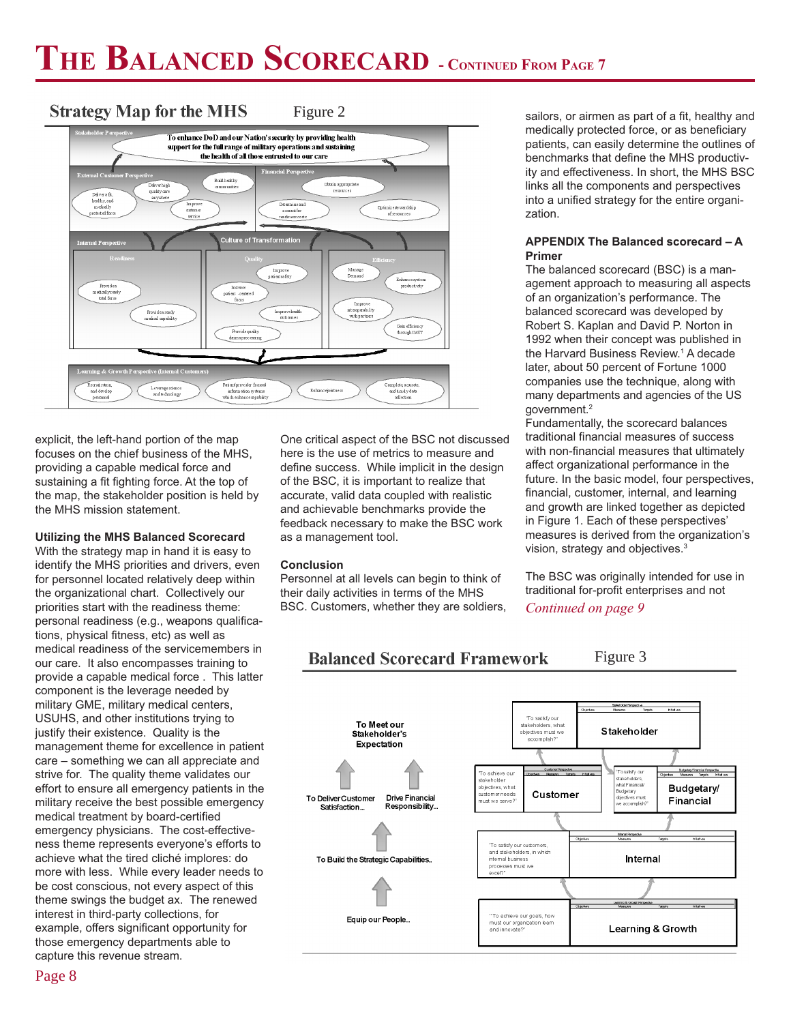#### **Strategy Map for the MHS** Figure 2



explicit, the left-hand portion of the map focuses on the chief business of the MHS, providing a capable medical force and sustaining a fit fighting force. At the top of the map, the stakeholder position is held by the MHS mission statement.

#### **Utilizing the MHS Balanced Scorecard**

With the strategy map in hand it is easy to identify the MHS priorities and drivers, even for personnel located relatively deep within the organizational chart. Collectively our priorities start with the readiness theme: personal readiness (e.g., weapons qualifications, physical fitness, etc) as well as medical readiness of the servicemembers in our care. It also encompasses training to provide a capable medical force . This latter component is the leverage needed by military GME, military medical centers, USUHS, and other institutions trying to justify their existence. Quality is the management theme for excellence in patient care – something we can all appreciate and strive for. The quality theme validates our effort to ensure all emergency patients in the military receive the best possible emergency medical treatment by board-certified emergency physicians. The cost-effectiveness theme represents everyone's efforts to achieve what the tired cliché implores: do more with less. While every leader needs to be cost conscious, not every aspect of this theme swings the budget ax. The renewed interest in third-party collections, for example, offers significant opportunity for those emergency departments able to capture this revenue stream.

One critical aspect of the BSC not discussed here is the use of metrics to measure and define success. While implicit in the design of the BSC, it is important to realize that accurate, valid data coupled with realistic and achievable benchmarks provide the feedback necessary to make the BSC work as a management tool.

### **Conclusion**

Personnel at all levels can begin to think of their daily activities in terms of the MHS BSC. Customers, whether they are soldiers,

sailors, or airmen as part of a fit, healthy and medically protected force, or as beneficiary patients, can easily determine the outlines of benchmarks that define the MHS productivity and effectiveness. In short, the MHS BSC links all the components and perspectives into a unified strategy for the entire organization.

#### **APPENDIX The Balanced scorecard – A Primer**

The balanced scorecard (BSC) is a management approach to measuring all aspects of an organization's performance. The balanced scorecard was developed by Robert S. Kaplan and David P. Norton in 1992 when their concept was published in the Harvard Business Review.1 A decade later, about 50 percent of Fortune 1000 companies use the technique, along with many departments and agencies of the US government.2

Fundamentally, the scorecard balances traditional financial measures of success with non-financial measures that ultimately affect organizational performance in the future. In the basic model, four perspectives, financial, customer, internal, and learning and growth are linked together as depicted in Figure 1. Each of these perspectives' measures is derived from the organization's vision, strategy and objectives.3

The BSC was originally intended for use in traditional for-profit enterprises and not *Continued on page 9*

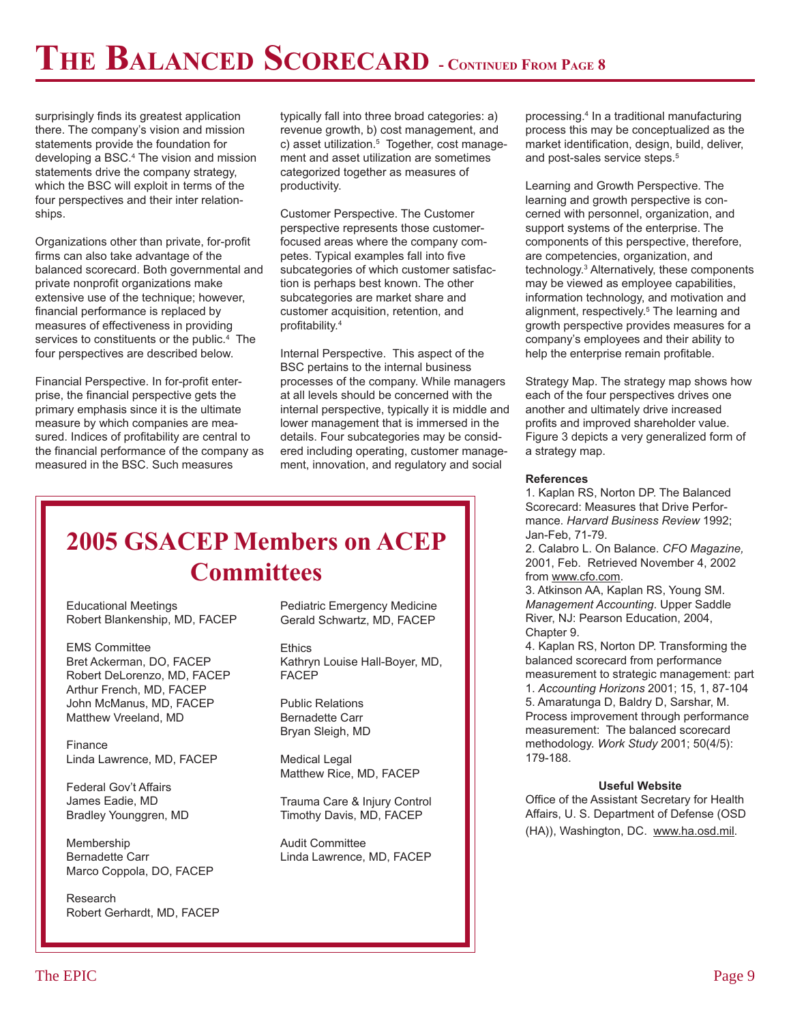## **THE BALANCED SCORECARD - CONTINUED FROM PAGE 8**

surprisingly finds its greatest application there. The company's vision and mission statements provide the foundation for developing a BSC.4 The vision and mission statements drive the company strategy, which the BSC will exploit in terms of the four perspectives and their inter relationships.

Organizations other than private, for-profit firms can also take advantage of the balanced scorecard. Both governmental and private nonprofit organizations make extensive use of the technique; however, financial performance is replaced by measures of effectiveness in providing services to constituents or the public.<sup>4</sup> The four perspectives are described below.

Financial Perspective. In for-profit enterprise, the financial perspective gets the primary emphasis since it is the ultimate measure by which companies are measured. Indices of profitability are central to the financial performance of the company as measured in the BSC. Such measures

typically fall into three broad categories: a) revenue growth, b) cost management, and c) asset utilization.<sup>5</sup> Together, cost management and asset utilization are sometimes categorized together as measures of productivity.

Customer Perspective. The Customer perspective represents those customerfocused areas where the company competes. Typical examples fall into five subcategories of which customer satisfaction is perhaps best known. The other subcategories are market share and customer acquisition, retention, and profitability.4

Internal Perspective. This aspect of the BSC pertains to the internal business processes of the company. While managers at all levels should be concerned with the internal perspective, typically it is middle and lower management that is immersed in the details. Four subcategories may be considered including operating, customer management, innovation, and regulatory and social

### **2005 GSACEP Members on ACEP Committees**

Educational Meetings Robert Blankenship, MD, FACEP

EMS Committee Bret Ackerman, DO, FACEP Robert DeLorenzo, MD, FACEP Arthur French, MD, FACEP John McManus, MD, FACEP Matthew Vreeland, MD

Finance Linda Lawrence, MD, FACEP

Federal Gov't Affairs James Eadie, MD Bradley Younggren, MD

Membership Bernadette Carr Marco Coppola, DO, FACEP

Research Robert Gerhardt, MD, FACEP

Pediatric Emergency Medicine Gerald Schwartz, MD, FACEP

**Ethics** Kathryn Louise Hall-Boyer, MD, FACEP

Public Relations Bernadette Carr Bryan Sleigh, MD

Medical Legal Matthew Rice, MD, FACEP

Trauma Care & Injury Control Timothy Davis, MD, FACEP

Audit Committee Linda Lawrence, MD, FACEP

processing.4 In a traditional manufacturing process this may be conceptualized as the market identification, design, build, deliver, and post-sales service steps.<sup>5</sup>

Learning and Growth Perspective. The learning and growth perspective is concerned with personnel, organization, and support systems of the enterprise. The components of this perspective, therefore, are competencies, organization, and technology.3 Alternatively, these components may be viewed as employee capabilities, information technology, and motivation and alignment, respectively.<sup>5</sup> The learning and growth perspective provides measures for a company's employees and their ability to help the enterprise remain profitable.

Strategy Map. The strategy map shows how each of the four perspectives drives one another and ultimately drive increased profits and improved shareholder value. Figure 3 depicts a very generalized form of a strategy map.

#### **References**

1. Kaplan RS, Norton DP. The Balanced Scorecard: Measures that Drive Performance. *Harvard Business Review* 1992; Jan-Feb, 71-79.

2. Calabro L. On Balance. *CFO Magazine,* 2001, Feb. Retrieved November 4, 2002 from www.cfo.com.

3. Atkinson AA, Kaplan RS, Young SM. *Management Accounting*. Upper Saddle River, NJ: Pearson Education, 2004, Chapter 9.

4. Kaplan RS, Norton DP. Transforming the balanced scorecard from performance measurement to strategic management: part 1. *Accounting Horizons* 2001; 15, 1, 87-104 5. Amaratunga D, Baldry D, Sarshar, M. Process improvement through performance measurement: The balanced scorecard methodology. *Work Study* 2001; 50(4/5): 179-188.

### **Useful Website**

Office of the Assistant Secretary for Health Affairs, U. S. Department of Defense (OSD (HA)), Washington, DC. www.ha.osd.mil.